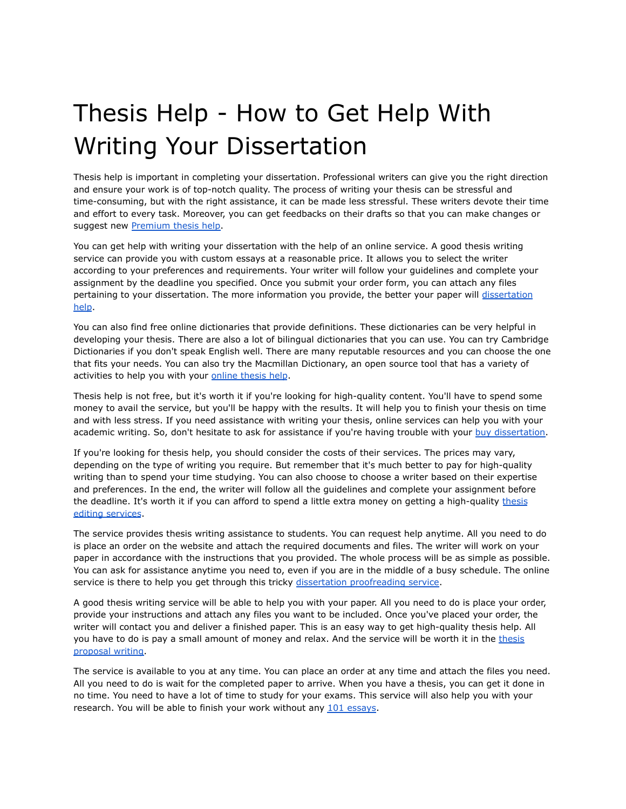## Thesis Help - How to Get Help With Writing Your Dissertation

Thesis help is important in completing your dissertation. Professional writers can give you the right direction and ensure your work is of top-notch quality. The process of writing your thesis can be stressful and time-consuming, but with the right assistance, it can be made less stressful. These writers devote their time and effort to every task. Moreover, you can get feedbacks on their drafts so that you can make changes or suggest new [Premium](https://www.premiumthesishelp.com/) thesis help.

You can get help with writing your dissertation with the help of an online service. A good thesis writing service can provide you with custom essays at a reasonable price. It allows you to select the writer according to your preferences and requirements. Your writer will follow your guidelines and complete your assignment by the deadline you specified. Once you submit your order form, you can attach any files pertaining to your [dissertation](https://www.premiumdissertationhelp.com/). The more information you provide, the better your paper will dissertation [help](https://www.premiumdissertationhelp.com/).

You can also find free online dictionaries that provide definitions. These dictionaries can be very helpful in developing your thesis. There are also a lot of bilingual dictionaries that you can use. You can try Cambridge Dictionaries if you don't speak English well. There are many reputable resources and you can choose the one that fits your needs. You can also try the Macmillan Dictionary, an open source tool that has a variety of activities to help you with your [online](https://www.premiumthesishelp.com/) thesis help.

Thesis help is not free, but it's worth it if you're looking for high-quality content. You'll have to spend some money to avail the service, but you'll be happy with the results. It will help you to finish your thesis on time and with less stress. If you need assistance with writing your thesis, online services can help you with your academic writing. So, don't hesitate to ask for assistance if you're having trouble with your buy [dissertation.](https://www.premiumdissertationhelp.com/buy-dissertation/)

If you're looking for thesis help, you should consider the costs of their services. The prices may vary, depending on the type of writing you require. But remember that it's much better to pay for high-quality writing than to spend your time studying. You can also choose to choose a writer based on their expertise and preferences. In the end, the writer will follow all the guidelines and complete your assignment before the deadline. It's worth it if you can afford to spend a little extra money on getting a high-quality [thesis](https://www.premiumthesishelp.com/thesis-editing-services/) editing [services](https://www.premiumthesishelp.com/thesis-editing-services/).

The service provides thesis writing assistance to students. You can request help anytime. All you need to do is place an order on the website and attach the required documents and files. The writer will work on your paper in accordance with the instructions that you provided. The whole process will be as simple as possible. You can ask for assistance anytime you need to, even if you are in the middle of a busy schedule. The online service is there to help you get through this tricky dissertation [proofreading](https://www.premiumdissertationhelp.com/dissertation-proofreading-service/) service.

A good thesis writing service will be able to help you with your paper. All you need to do is place your order, provide your instructions and attach any files you want to be included. Once you've placed your order, the writer will contact you and deliver a finished paper. This is an easy way to get high-quality thesis help. All you have to do is pay a small amount of money and relax. And the service will be worth it in the [thesis](https://www.premiumthesishelp.com/Thesis-Proposal-writing) [proposal](https://www.premiumthesishelp.com/Thesis-Proposal-writing) writing.

The service is available to you at any time. You can place an order at any time and attach the files you need. All you need to do is wait for the completed paper to arrive. When you have a thesis, you can get it done in no time. You need to have a lot of time to study for your exams. This service will also help you with your research. You will be able to finish your work without any 101 [essays](https://101essays.com/).